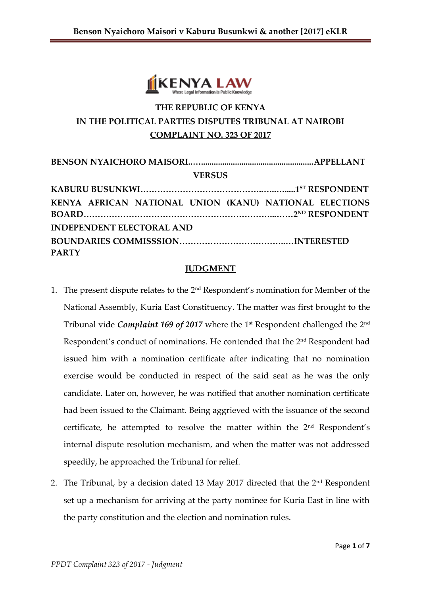

# **THE REPUBLIC OF KENYA IN THE POLITICAL PARTIES DISPUTES TRIBUNAL AT NAIROBI COMPLAINT NO. 323 OF 2017**

| <b>VERSUS</b>                                          |  |  |
|--------------------------------------------------------|--|--|
|                                                        |  |  |
| KENYA AFRICAN NATIONAL UNION (KANU) NATIONAL ELECTIONS |  |  |
| <b>INDEPENDENT ELECTORAL AND</b>                       |  |  |
| <b>PARTY</b>                                           |  |  |

#### **JUDGMENT**

- 1. The present dispute relates to the  $2<sup>nd</sup>$  Respondent's nomination for Member of the National Assembly, Kuria East Constituency. The matter was first brought to the Tribunal vide *Complaint 169 of 2017* where the 1st Respondent challenged the 2<sup>nd</sup> Respondent's conduct of nominations. He contended that the 2<sup>nd</sup> Respondent had issued him with a nomination certificate after indicating that no nomination exercise would be conducted in respect of the said seat as he was the only candidate. Later on, however, he was notified that another nomination certificate had been issued to the Claimant. Being aggrieved with the issuance of the second certificate, he attempted to resolve the matter within the 2<sup>nd</sup> Respondent's internal dispute resolution mechanism, and when the matter was not addressed speedily, he approached the Tribunal for relief.
- 2. The Tribunal, by a decision dated 13 May 2017 directed that the  $2<sup>nd</sup>$  Respondent set up a mechanism for arriving at the party nominee for Kuria East in line with the party constitution and the election and nomination rules.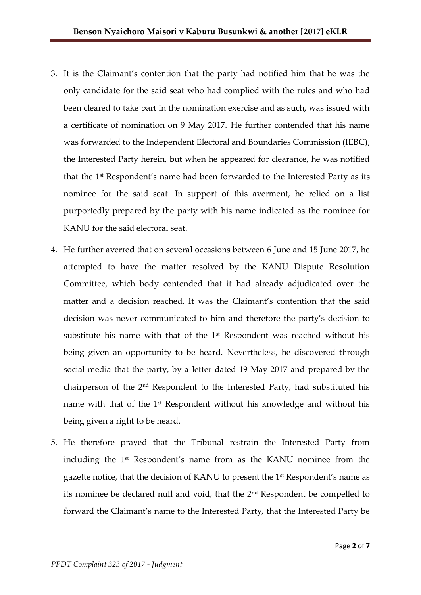- 3. It is the Claimant's contention that the party had notified him that he was the only candidate for the said seat who had complied with the rules and who had been cleared to take part in the nomination exercise and as such, was issued with a certificate of nomination on 9 May 2017. He further contended that his name was forwarded to the Independent Electoral and Boundaries Commission (IEBC), the Interested Party herein, but when he appeared for clearance, he was notified that the 1st Respondent's name had been forwarded to the Interested Party as its nominee for the said seat. In support of this averment, he relied on a list purportedly prepared by the party with his name indicated as the nominee for KANU for the said electoral seat.
- 4. He further averred that on several occasions between 6 June and 15 June 2017, he attempted to have the matter resolved by the KANU Dispute Resolution Committee, which body contended that it had already adjudicated over the matter and a decision reached. It was the Claimant's contention that the said decision was never communicated to him and therefore the party's decision to substitute his name with that of the  $1<sup>st</sup>$  Respondent was reached without his being given an opportunity to be heard. Nevertheless, he discovered through social media that the party, by a letter dated 19 May 2017 and prepared by the chairperson of the 2nd Respondent to the Interested Party, had substituted his name with that of the 1<sup>st</sup> Respondent without his knowledge and without his being given a right to be heard.
- 5. He therefore prayed that the Tribunal restrain the Interested Party from including the 1st Respondent's name from as the KANU nominee from the gazette notice, that the decision of KANU to present the 1st Respondent's name as its nominee be declared null and void, that the 2nd Respondent be compelled to forward the Claimant's name to the Interested Party, that the Interested Party be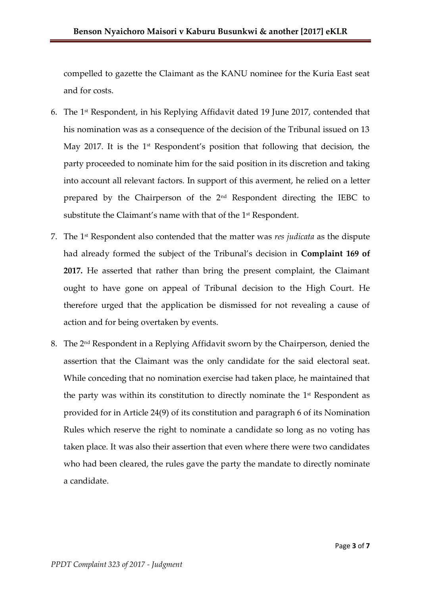compelled to gazette the Claimant as the KANU nominee for the Kuria East seat and for costs.

- 6. The 1st Respondent, in his Replying Affidavit dated 19 June 2017, contended that his nomination was as a consequence of the decision of the Tribunal issued on 13 May 2017. It is the 1<sup>st</sup> Respondent's position that following that decision, the party proceeded to nominate him for the said position in its discretion and taking into account all relevant factors. In support of this averment, he relied on a letter prepared by the Chairperson of the 2nd Respondent directing the IEBC to substitute the Claimant's name with that of the 1<sup>st</sup> Respondent.
- 7. The 1st Respondent also contended that the matter was *res judicata* as the dispute had already formed the subject of the Tribunal's decision in **Complaint 169 of 2017.** He asserted that rather than bring the present complaint, the Claimant ought to have gone on appeal of Tribunal decision to the High Court. He therefore urged that the application be dismissed for not revealing a cause of action and for being overtaken by events.
- 8. The 2nd Respondent in a Replying Affidavit sworn by the Chairperson, denied the assertion that the Claimant was the only candidate for the said electoral seat. While conceding that no nomination exercise had taken place, he maintained that the party was within its constitution to directly nominate the 1<sup>st</sup> Respondent as provided for in Article 24(9) of its constitution and paragraph 6 of its Nomination Rules which reserve the right to nominate a candidate so long as no voting has taken place. It was also their assertion that even where there were two candidates who had been cleared, the rules gave the party the mandate to directly nominate a candidate.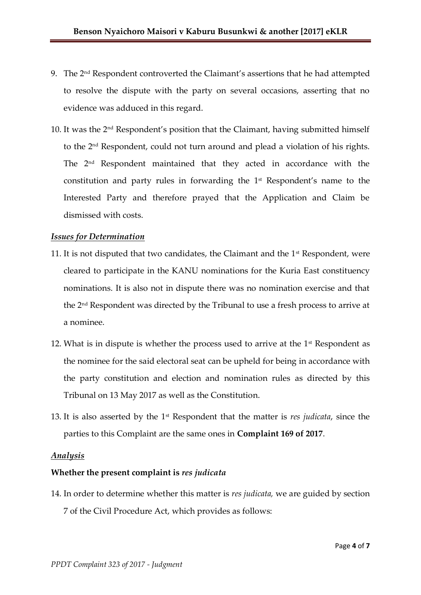- 9. The 2nd Respondent controverted the Claimant's assertions that he had attempted to resolve the dispute with the party on several occasions, asserting that no evidence was adduced in this regard.
- 10. It was the 2nd Respondent's position that the Claimant, having submitted himself to the 2nd Respondent, could not turn around and plead a violation of his rights. The 2nd Respondent maintained that they acted in accordance with the constitution and party rules in forwarding the 1st Respondent's name to the Interested Party and therefore prayed that the Application and Claim be dismissed with costs.

#### *Issues for Determination*

- 11. It is not disputed that two candidates, the Claimant and the 1st Respondent, were cleared to participate in the KANU nominations for the Kuria East constituency nominations. It is also not in dispute there was no nomination exercise and that the 2 nd Respondent was directed by the Tribunal to use a fresh process to arrive at a nominee.
- 12. What is in dispute is whether the process used to arrive at the  $1<sup>st</sup>$  Respondent as the nominee for the said electoral seat can be upheld for being in accordance with the party constitution and election and nomination rules as directed by this Tribunal on 13 May 2017 as well as the Constitution.
- 13. It is also asserted by the 1st Respondent that the matter is *res judicata*, since the parties to this Complaint are the same ones in **Complaint 169 of 2017**.

#### *Analysis*

### **Whether the present complaint is** *res judicata*

14. In order to determine whether this matter is *res judicata,* we are guided by section 7 of the Civil Procedure Act, which provides as follows: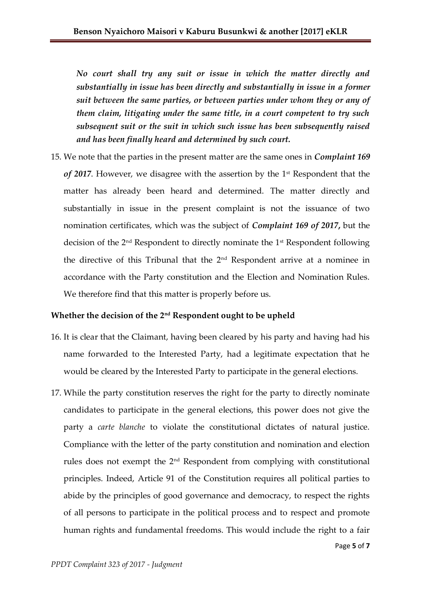*No court shall try any suit or issue in which the matter directly and substantially in issue has been directly and substantially in issue in a former suit between the same parties, or between parties under whom they or any of them claim, litigating under the same title, in a court competent to try such subsequent suit or the suit in which such issue has been subsequently raised and has been finally heard and determined by such court.*

15. We note that the parties in the present matter are the same ones in *Complaint 169*  of 2017. However, we disagree with the assertion by the 1<sup>st</sup> Respondent that the matter has already been heard and determined. The matter directly and substantially in issue in the present complaint is not the issuance of two nomination certificates, which was the subject of *Complaint 169 of 2017***,** but the decision of the 2nd Respondent to directly nominate the 1st Respondent following the directive of this Tribunal that the 2nd Respondent arrive at a nominee in accordance with the Party constitution and the Election and Nomination Rules. We therefore find that this matter is properly before us.

#### **Whether the decision of the 2nd Respondent ought to be upheld**

- 16. It is clear that the Claimant, having been cleared by his party and having had his name forwarded to the Interested Party, had a legitimate expectation that he would be cleared by the Interested Party to participate in the general elections.
- 17. While the party constitution reserves the right for the party to directly nominate candidates to participate in the general elections, this power does not give the party a *carte blanche* to violate the constitutional dictates of natural justice. Compliance with the letter of the party constitution and nomination and election rules does not exempt the 2nd Respondent from complying with constitutional principles. Indeed, Article 91 of the Constitution requires all political parties to abide by the principles of good governance and democracy, to respect the rights of all persons to participate in the political process and to respect and promote human rights and fundamental freedoms. This would include the right to a fair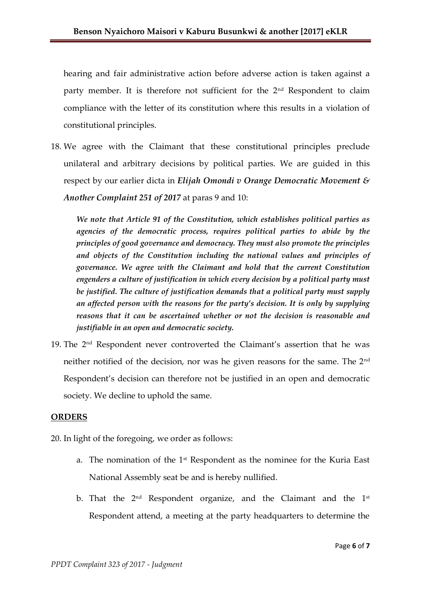hearing and fair administrative action before adverse action is taken against a party member. It is therefore not sufficient for the 2<sup>nd</sup> Respondent to claim compliance with the letter of its constitution where this results in a violation of constitutional principles.

18. We agree with the Claimant that these constitutional principles preclude unilateral and arbitrary decisions by political parties. We are guided in this respect by our earlier dicta in *Elijah Omondi v Orange Democratic Movement & Another Complaint 251 of 2017* at paras 9 and 10:

*We note that Article 91 of the Constitution, which establishes political parties as agencies of the democratic process, requires political parties to abide by the principles of good governance and democracy. They must also promote the principles and objects of the Constitution including the national values and principles of governance. We agree with the Claimant and hold that the current Constitution engenders a culture of justification in which every decision by a political party must be justified. The culture of justification demands that a political party must supply an affected person with the reasons for the party's decision. It is only by supplying reasons that it can be ascertained whether or not the decision is reasonable and justifiable in an open and democratic society.*

19. The 2nd Respondent never controverted the Claimant's assertion that he was neither notified of the decision, nor was he given reasons for the same. The 2nd Respondent's decision can therefore not be justified in an open and democratic society. We decline to uphold the same.

### **ORDERS**

20. In light of the foregoing, we order as follows:

- a. The nomination of the 1st Respondent as the nominee for the Kuria East National Assembly seat be and is hereby nullified.
- b. That the  $2<sup>nd</sup>$  Respondent organize, and the Claimant and the  $1<sup>st</sup>$ Respondent attend, a meeting at the party headquarters to determine the